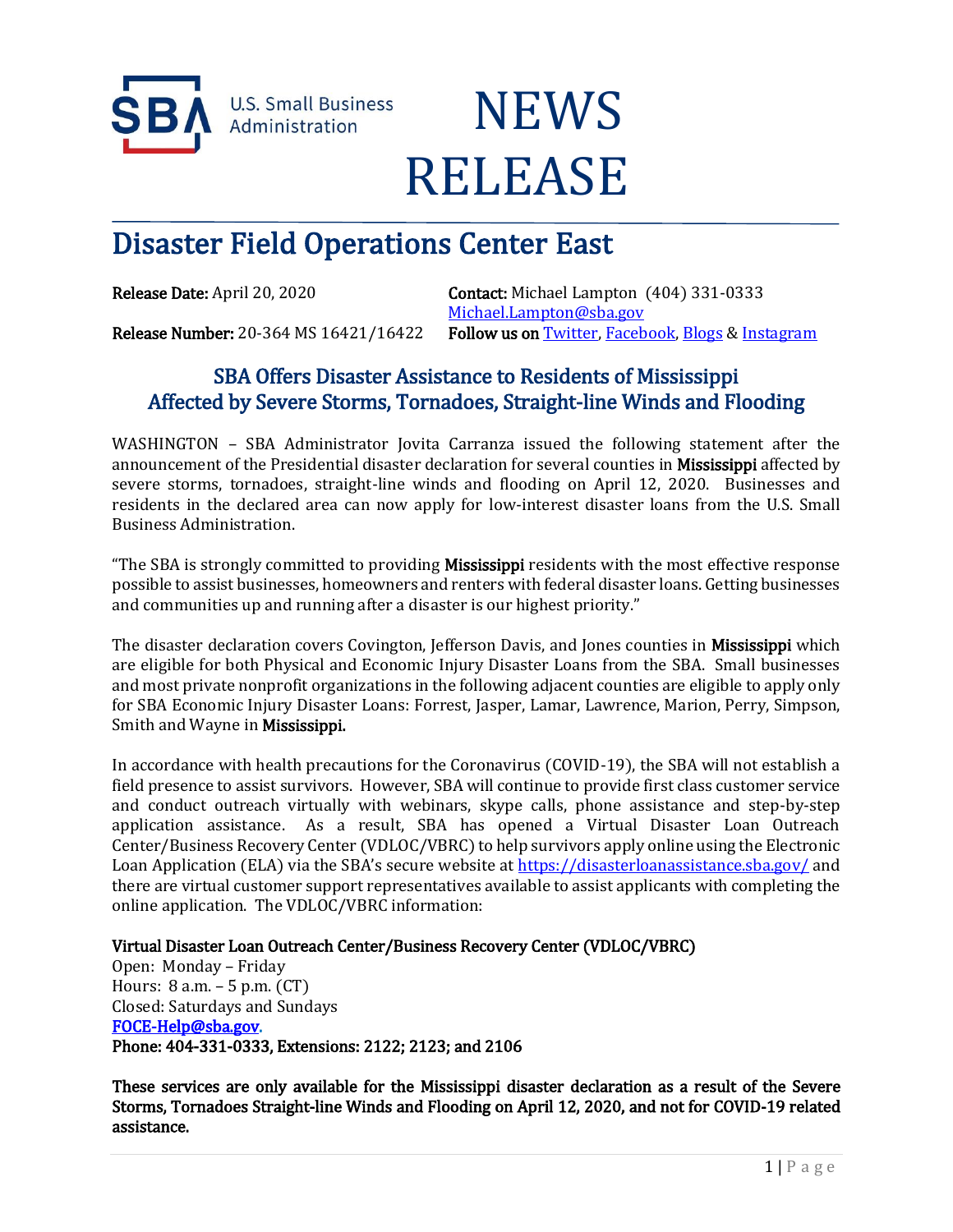



# Disaster Field Operations Center East

Release Date: April 20, 2020 Contact: Michael Lampton (404) 331-0333 [Michael.Lampton@sba.gov](mailto:Michael.Lampton@sba.gov) Release Number: 20-364 MS 16421/16422 Follow us on [Twitter,](http://www.twitter.com/SBAgov) [Facebook,](http://www.facebook.com/sbagov) [Blogs](http://www.sba.gov/blogs) & Instagram

## SBA Offers Disaster Assistance to Residents of Mississippi Affected by Severe Storms, Tornadoes, Straight-line Winds and Flooding

WASHINGTON – SBA Administrator Jovita Carranza issued the following statement after the announcement of the Presidential disaster declaration for several counties in Mississippi affected by severe storms, tornadoes, straight-line winds and flooding on April 12, 2020. Businesses and residents in the declared area can now apply for low-interest disaster loans from the U.S. Small Business Administration.

"The SBA is strongly committed to providing Mississippi residents with the most effective response possible to assist businesses, homeowners and renters with federal disaster loans. Getting businesses and communities up and running after a disaster is our highest priority."

The disaster declaration covers Covington, Jefferson Davis, and Jones counties in **Mississippi** which are eligible for both Physical and Economic Injury Disaster Loans from the SBA. Small businesses and most private nonprofit organizations in the following adjacent counties are eligible to apply only for SBA Economic Injury Disaster Loans: Forrest, Jasper, Lamar, Lawrence, Marion, Perry, Simpson, Smith and Wayne in Mississippi.

In accordance with health precautions for the Coronavirus (COVID-19), the SBA will not establish a field presence to assist survivors. However, SBA will continue to provide first class customer service and conduct outreach virtually with webinars, skype calls, phone assistance and step-by-step application assistance. As a result, SBA has opened a Virtual Disaster Loan Outreach Center/Business Recovery Center (VDLOC/VBRC) to help survivors apply online using the Electronic Loan Application (ELA) via the SBA's secure website at <https://disasterloanassistance.sba.gov/> and there are virtual customer support representatives available to assist applicants with completing the online application. The VDLOC/VBRC information:

### Virtual Disaster Loan Outreach Center/Business Recovery Center (VDLOC/VBRC)

Open: Monday – Friday Hours: 8 a.m. – 5 p.m. (CT) Closed: Saturdays and Sundays [FOCE-Help@sba.gov.](mailto:FOCE-Help@sba.gov) Phone: 404-331-0333, Extensions: 2122; 2123; and 2106

These services are only available for the Mississippi disaster declaration as a result of the Severe Storms, Tornadoes Straight-line Winds and Flooding on April 12, 2020, and not for COVID-19 related assistance.